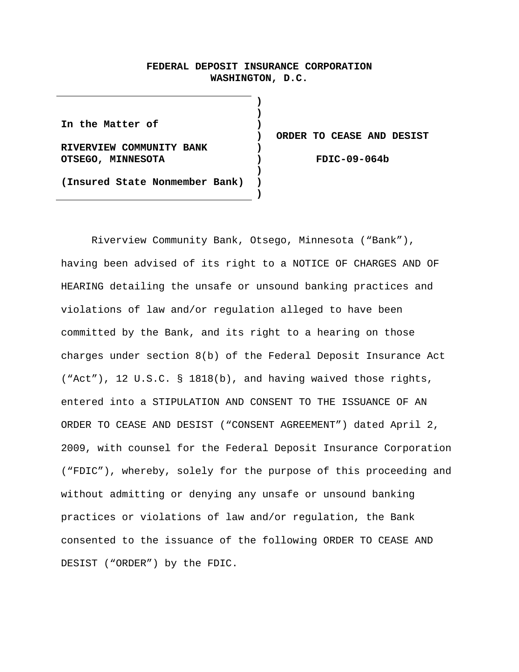# **FEDERAL DEPOSIT INSURANCE CORPORATION WASHINGTON, D.C.**

**) ) ) ) ) ) ) ) )**

**In the Matter of RIVERVIEW COMMUNITY BANK OTSEGO, MINNESOTA (Insured State Nonmember Bank)** 

**ORDER TO CEASE AND DESIST** 

**FDIC-09-064b** 

 Riverview Community Bank, Otsego, Minnesota ("Bank"), having been advised of its right to a NOTICE OF CHARGES AND OF HEARING detailing the unsafe or unsound banking practices and violations of law and/or regulation alleged to have been committed by the Bank, and its right to a hearing on those charges under section 8(b) of the Federal Deposit Insurance Act ("Act"), 12 U.S.C. § 1818(b), and having waived those rights, entered into a STIPULATION AND CONSENT TO THE ISSUANCE OF AN ORDER TO CEASE AND DESIST ("CONSENT AGREEMENT") dated April 2, 2009, with counsel for the Federal Deposit Insurance Corporation ("FDIC"), whereby, solely for the purpose of this proceeding and without admitting or denying any unsafe or unsound banking practices or violations of law and/or regulation, the Bank consented to the issuance of the following ORDER TO CEASE AND DESIST ("ORDER") by the FDIC.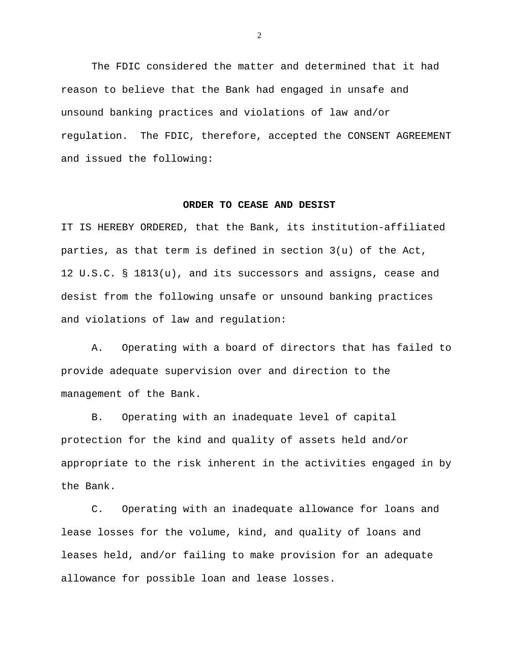The FDIC considered the matter and determined that it had reason to believe that the Bank had engaged in unsafe and unsound banking practices and violations of law and/or regulation. The FDIC, therefore, accepted the CONSENT AGREEMENT and issued the following:

## **ORDER TO CEASE AND DESIST**

IT IS HEREBY ORDERED, that the Bank, its institution-affiliated parties, as that term is defined in section 3(u) of the Act, 12 U.S.C. § 1813(u), and its successors and assigns, cease and desist from the following unsafe or unsound banking practices and violations of law and regulation:

 A. Operating with a board of directors that has failed to provide adequate supervision over and direction to the management of the Bank.

 B. Operating with an inadequate level of capital protection for the kind and quality of assets held and/or appropriate to the risk inherent in the activities engaged in by the Bank.

 C. Operating with an inadequate allowance for loans and lease losses for the volume, kind, and quality of loans and leases held, and/or failing to make provision for an adequate allowance for possible loan and lease losses.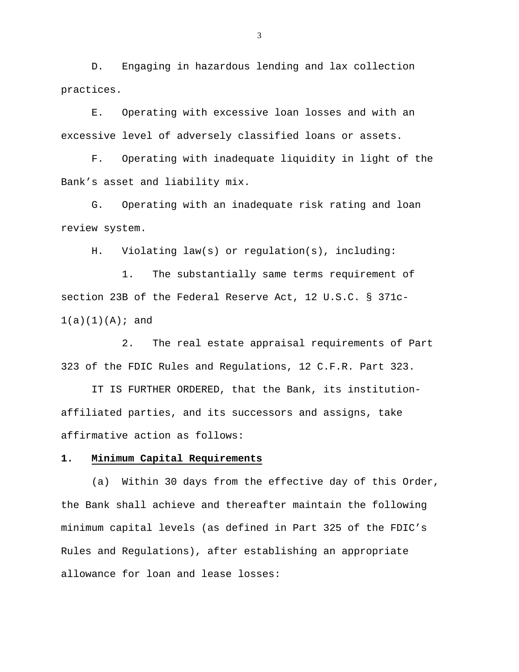D. Engaging in hazardous lending and lax collection practices.

 E. Operating with excessive loan losses and with an excessive level of adversely classified loans or assets.

 F. Operating with inadequate liquidity in light of the Bank's asset and liability mix.

 G. Operating with an inadequate risk rating and loan review system.

H. Violating law(s) or regulation(s), including:

 1. The substantially same terms requirement of section 23B of the Federal Reserve Act, 12 U.S.C. § 371c- $1(a)(1)(A);$  and

 2. The real estate appraisal requirements of Part 323 of the FDIC Rules and Regulations, 12 C.F.R. Part 323.

 IT IS FURTHER ORDERED, that the Bank, its institutionaffiliated parties, and its successors and assigns, take affirmative action as follows:

## **1. Minimum Capital Requirements**

 (a) Within 30 days from the effective day of this Order, the Bank shall achieve and thereafter maintain the following minimum capital levels (as defined in Part 325 of the FDIC's Rules and Regulations), after establishing an appropriate allowance for loan and lease losses: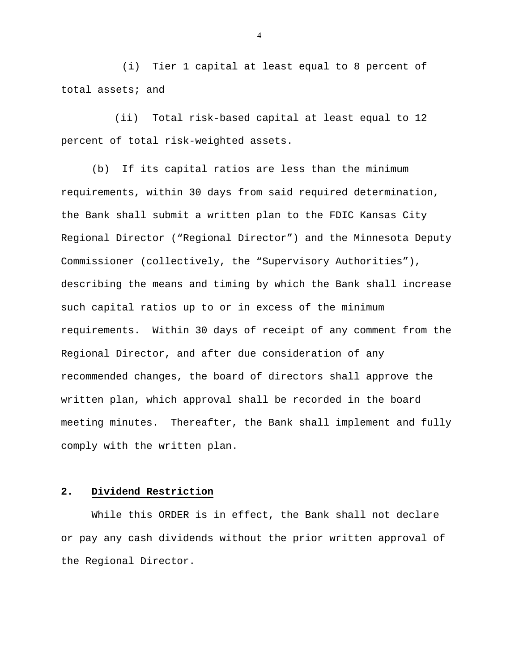(i) Tier 1 capital at least equal to 8 percent of total assets; and

 (ii) Total risk-based capital at least equal to 12 percent of total risk-weighted assets.

 (b) If its capital ratios are less than the minimum requirements, within 30 days from said required determination, the Bank shall submit a written plan to the FDIC Kansas City Regional Director ("Regional Director") and the Minnesota Deputy Commissioner (collectively, the "Supervisory Authorities"), describing the means and timing by which the Bank shall increase such capital ratios up to or in excess of the minimum requirements. Within 30 days of receipt of any comment from the Regional Director, and after due consideration of any recommended changes, the board of directors shall approve the written plan, which approval shall be recorded in the board meeting minutes. Thereafter, the Bank shall implement and fully comply with the written plan.

# **2. Dividend Restriction**

 While this ORDER is in effect, the Bank shall not declare or pay any cash dividends without the prior written approval of the Regional Director.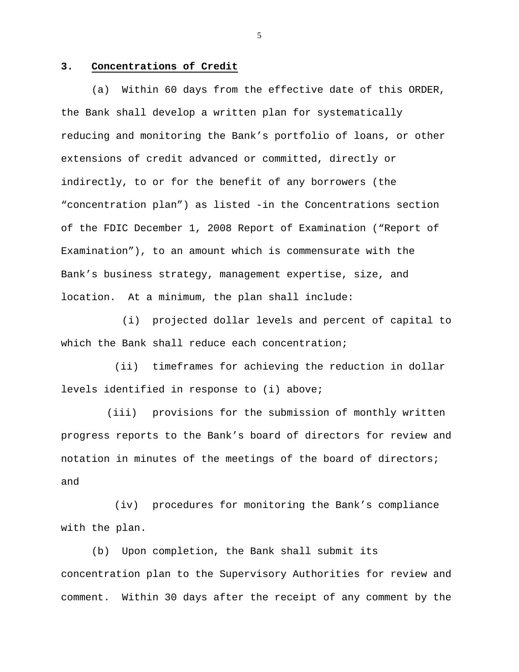## **3. Concentrations of Credit**

 (a) Within 60 days from the effective date of this ORDER, the Bank shall develop a written plan for systematically reducing and monitoring the Bank's portfolio of loans, or other extensions of credit advanced or committed, directly or indirectly, to or for the benefit of any borrowers (the "concentration plan") as listed -in the Concentrations section of the FDIC December 1, 2008 Report of Examination ("Report of Examination"), to an amount which is commensurate with the Bank's business strategy, management expertise, size, and location. At a minimum, the plan shall include:

 (i) projected dollar levels and percent of capital to which the Bank shall reduce each concentration;

 (ii) timeframes for achieving the reduction in dollar levels identified in response to (i) above;

 (iii) provisions for the submission of monthly written progress reports to the Bank's board of directors for review and notation in minutes of the meetings of the board of directors; and

 (iv) procedures for monitoring the Bank's compliance with the plan.

 (b) Upon completion, the Bank shall submit its concentration plan to the Supervisory Authorities for review and comment. Within 30 days after the receipt of any comment by the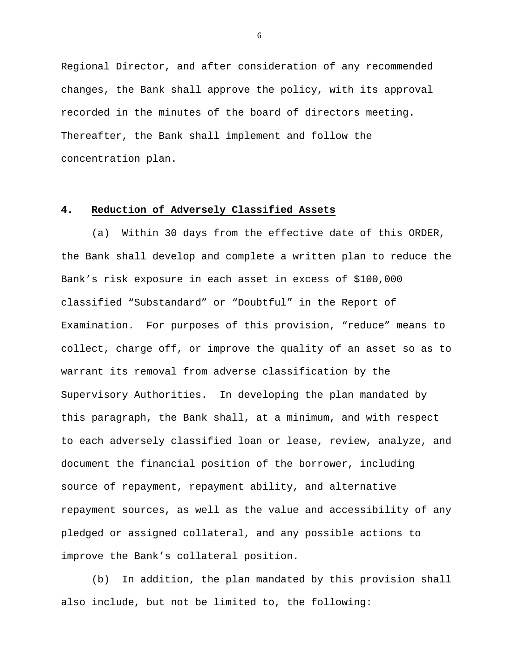Regional Director, and after consideration of any recommended changes, the Bank shall approve the policy, with its approval recorded in the minutes of the board of directors meeting. Thereafter, the Bank shall implement and follow the concentration plan.

## **4. Reduction of Adversely Classified Assets**

 (a) Within 30 days from the effective date of this ORDER, the Bank shall develop and complete a written plan to reduce the Bank's risk exposure in each asset in excess of \$100,000 classified "Substandard" or "Doubtful" in the Report of Examination. For purposes of this provision, "reduce" means to collect, charge off, or improve the quality of an asset so as to warrant its removal from adverse classification by the Supervisory Authorities. In developing the plan mandated by this paragraph, the Bank shall, at a minimum, and with respect to each adversely classified loan or lease, review, analyze, and document the financial position of the borrower, including source of repayment, repayment ability, and alternative repayment sources, as well as the value and accessibility of any pledged or assigned collateral, and any possible actions to improve the Bank's collateral position.

 (b) In addition, the plan mandated by this provision shall also include, but not be limited to, the following: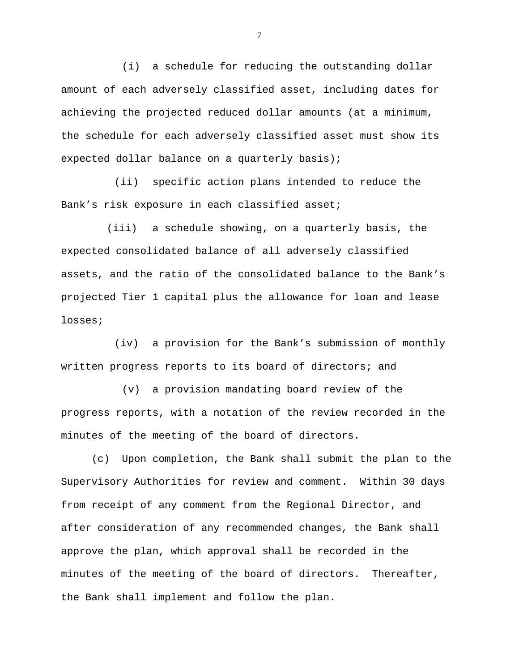(i) a schedule for reducing the outstanding dollar amount of each adversely classified asset, including dates for achieving the projected reduced dollar amounts (at a minimum, the schedule for each adversely classified asset must show its expected dollar balance on a quarterly basis);

 (ii) specific action plans intended to reduce the Bank's risk exposure in each classified asset;

 (iii) a schedule showing, on a quarterly basis, the expected consolidated balance of all adversely classified assets, and the ratio of the consolidated balance to the Bank's projected Tier 1 capital plus the allowance for loan and lease losses;

 (iv) a provision for the Bank's submission of monthly written progress reports to its board of directors; and

 (v) a provision mandating board review of the progress reports, with a notation of the review recorded in the minutes of the meeting of the board of directors.

 (c) Upon completion, the Bank shall submit the plan to the Supervisory Authorities for review and comment. Within 30 days from receipt of any comment from the Regional Director, and after consideration of any recommended changes, the Bank shall approve the plan, which approval shall be recorded in the minutes of the meeting of the board of directors. Thereafter, the Bank shall implement and follow the plan.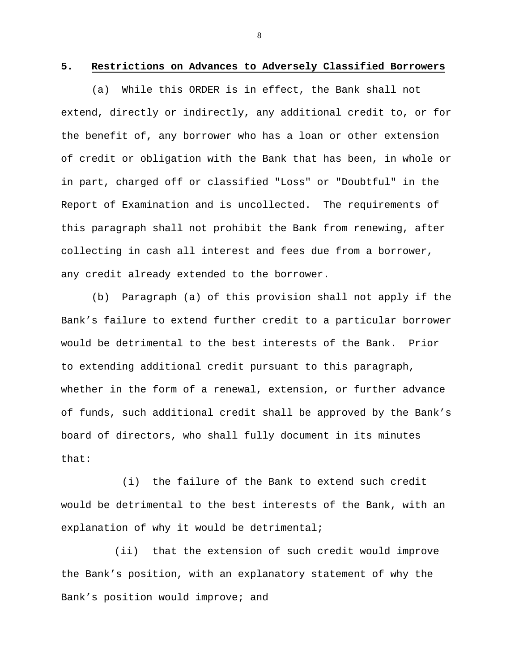#### **5. Restrictions on Advances to Adversely Classified Borrowers**

 (a) While this ORDER is in effect, the Bank shall not extend, directly or indirectly, any additional credit to, or for the benefit of, any borrower who has a loan or other extension of credit or obligation with the Bank that has been, in whole or in part, charged off or classified "Loss" or "Doubtful" in the Report of Examination and is uncollected. The requirements of this paragraph shall not prohibit the Bank from renewing, after collecting in cash all interest and fees due from a borrower, any credit already extended to the borrower.

 (b) Paragraph (a) of this provision shall not apply if the Bank's failure to extend further credit to a particular borrower would be detrimental to the best interests of the Bank. Prior to extending additional credit pursuant to this paragraph, whether in the form of a renewal, extension, or further advance of funds, such additional credit shall be approved by the Bank's board of directors, who shall fully document in its minutes that:

 (i) the failure of the Bank to extend such credit would be detrimental to the best interests of the Bank, with an explanation of why it would be detrimental;

 (ii) that the extension of such credit would improve the Bank's position, with an explanatory statement of why the Bank's position would improve; and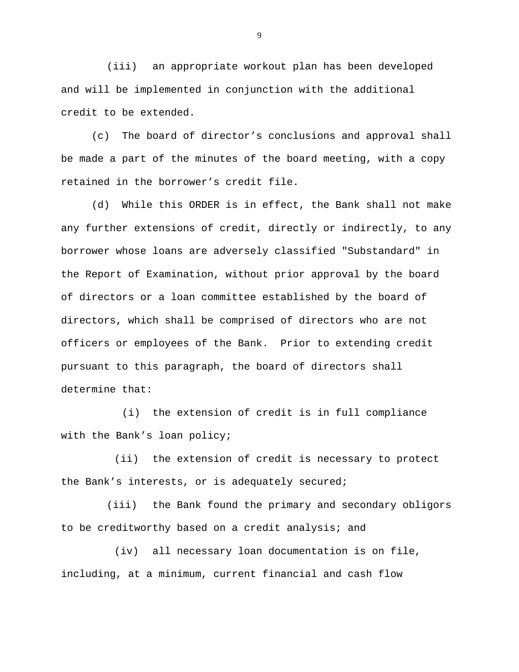(iii) an appropriate workout plan has been developed and will be implemented in conjunction with the additional credit to be extended.

 (c) The board of director's conclusions and approval shall be made a part of the minutes of the board meeting, with a copy retained in the borrower's credit file.

 (d) While this ORDER is in effect, the Bank shall not make any further extensions of credit, directly or indirectly, to any borrower whose loans are adversely classified "Substandard" in the Report of Examination, without prior approval by the board of directors or a loan committee established by the board of directors, which shall be comprised of directors who are not officers or employees of the Bank. Prior to extending credit pursuant to this paragraph, the board of directors shall determine that:

 (i) the extension of credit is in full compliance with the Bank's loan policy;

 (ii) the extension of credit is necessary to protect the Bank's interests, or is adequately secured;

 (iii) the Bank found the primary and secondary obligors to be creditworthy based on a credit analysis; and

 (iv) all necessary loan documentation is on file, including, at a minimum, current financial and cash flow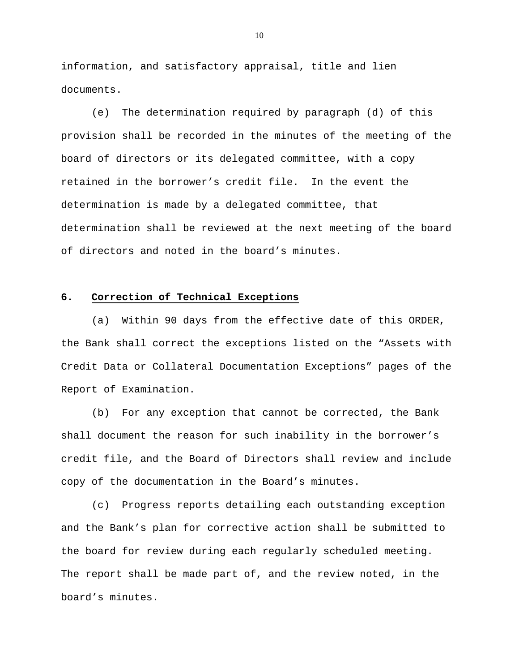information, and satisfactory appraisal, title and lien documents.

 (e) The determination required by paragraph (d) of this provision shall be recorded in the minutes of the meeting of the board of directors or its delegated committee, with a copy retained in the borrower's credit file. In the event the determination is made by a delegated committee, that determination shall be reviewed at the next meeting of the board of directors and noted in the board's minutes.

#### **6. Correction of Technical Exceptions**

 (a) Within 90 days from the effective date of this ORDER, the Bank shall correct the exceptions listed on the "Assets with Credit Data or Collateral Documentation Exceptions" pages of the Report of Examination.

 (b) For any exception that cannot be corrected, the Bank shall document the reason for such inability in the borrower's credit file, and the Board of Directors shall review and include copy of the documentation in the Board's minutes.

 (c) Progress reports detailing each outstanding exception and the Bank's plan for corrective action shall be submitted to the board for review during each regularly scheduled meeting. The report shall be made part of, and the review noted, in the board's minutes.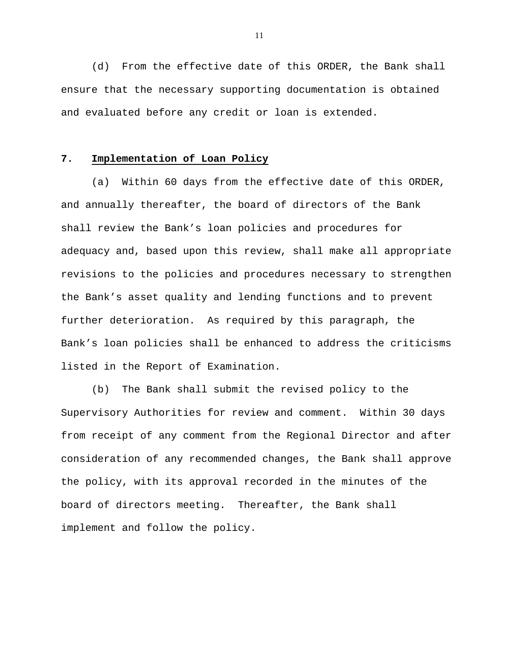(d) From the effective date of this ORDER, the Bank shall ensure that the necessary supporting documentation is obtained and evaluated before any credit or loan is extended.

# **7. Implementation of Loan Policy**

 (a) Within 60 days from the effective date of this ORDER, and annually thereafter, the board of directors of the Bank shall review the Bank's loan policies and procedures for adequacy and, based upon this review, shall make all appropriate revisions to the policies and procedures necessary to strengthen the Bank's asset quality and lending functions and to prevent further deterioration. As required by this paragraph, the Bank's loan policies shall be enhanced to address the criticisms listed in the Report of Examination.

 (b) The Bank shall submit the revised policy to the Supervisory Authorities for review and comment. Within 30 days from receipt of any comment from the Regional Director and after consideration of any recommended changes, the Bank shall approve the policy, with its approval recorded in the minutes of the board of directors meeting. Thereafter, the Bank shall implement and follow the policy.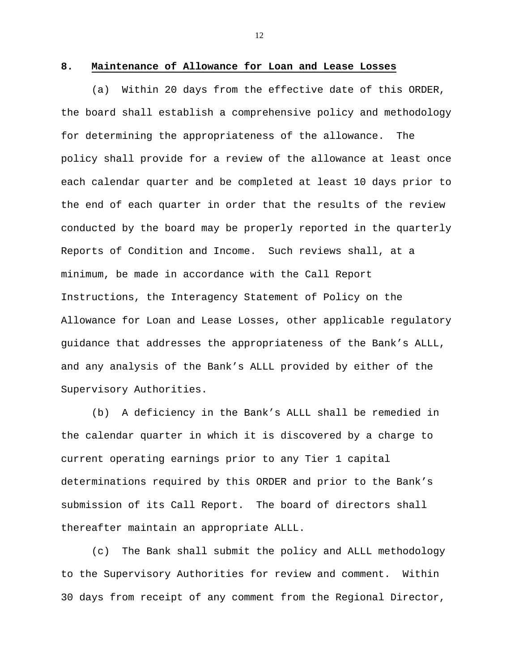#### **8. Maintenance of Allowance for Loan and Lease Losses**

 (a) Within 20 days from the effective date of this ORDER, the board shall establish a comprehensive policy and methodology for determining the appropriateness of the allowance. The policy shall provide for a review of the allowance at least once each calendar quarter and be completed at least 10 days prior to the end of each quarter in order that the results of the review conducted by the board may be properly reported in the quarterly Reports of Condition and Income. Such reviews shall, at a minimum, be made in accordance with the Call Report Instructions, the Interagency Statement of Policy on the Allowance for Loan and Lease Losses, other applicable regulatory guidance that addresses the appropriateness of the Bank's ALLL, and any analysis of the Bank's ALLL provided by either of the Supervisory Authorities.

 (b) A deficiency in the Bank's ALLL shall be remedied in the calendar quarter in which it is discovered by a charge to current operating earnings prior to any Tier 1 capital determinations required by this ORDER and prior to the Bank's submission of its Call Report. The board of directors shall thereafter maintain an appropriate ALLL.

 (c) The Bank shall submit the policy and ALLL methodology to the Supervisory Authorities for review and comment. Within 30 days from receipt of any comment from the Regional Director,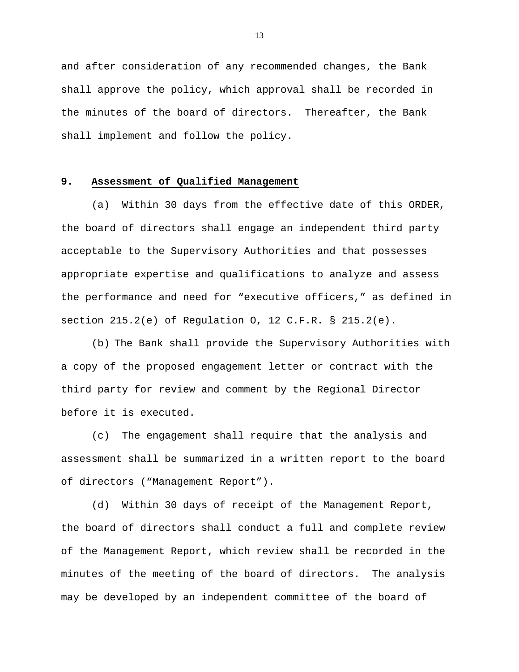and after consideration of any recommended changes, the Bank shall approve the policy, which approval shall be recorded in the minutes of the board of directors. Thereafter, the Bank shall implement and follow the policy.

# **9. Assessment of Qualified Management**

 (a) Within 30 days from the effective date of this ORDER, the board of directors shall engage an independent third party acceptable to the Supervisory Authorities and that possesses appropriate expertise and qualifications to analyze and assess the performance and need for "executive officers," as defined in section 215.2(e) of Regulation O, 12 C.F.R. § 215.2(e).

 (b) The Bank shall provide the Supervisory Authorities with a copy of the proposed engagement letter or contract with the third party for review and comment by the Regional Director before it is executed.

 (c) The engagement shall require that the analysis and assessment shall be summarized in a written report to the board of directors ("Management Report").

 (d) Within 30 days of receipt of the Management Report, the board of directors shall conduct a full and complete review of the Management Report, which review shall be recorded in the minutes of the meeting of the board of directors. The analysis may be developed by an independent committee of the board of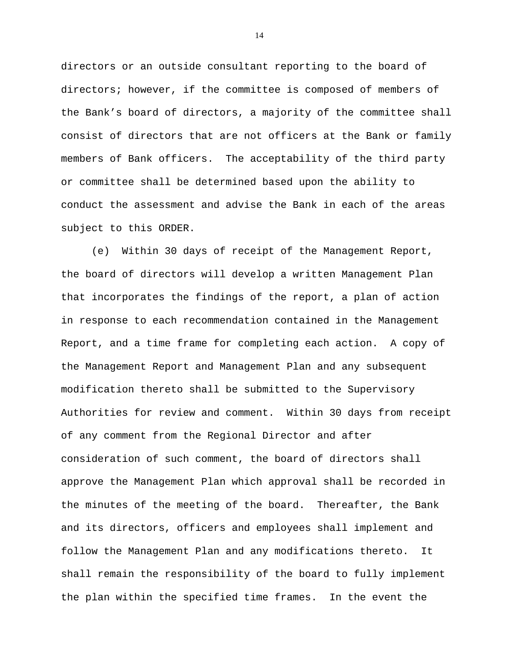directors or an outside consultant reporting to the board of directors; however, if the committee is composed of members of the Bank's board of directors, a majority of the committee shall consist of directors that are not officers at the Bank or family members of Bank officers. The acceptability of the third party or committee shall be determined based upon the ability to conduct the assessment and advise the Bank in each of the areas subject to this ORDER.

 (e) Within 30 days of receipt of the Management Report, the board of directors will develop a written Management Plan that incorporates the findings of the report, a plan of action in response to each recommendation contained in the Management Report, and a time frame for completing each action. A copy of the Management Report and Management Plan and any subsequent modification thereto shall be submitted to the Supervisory Authorities for review and comment. Within 30 days from receipt of any comment from the Regional Director and after consideration of such comment, the board of directors shall approve the Management Plan which approval shall be recorded in the minutes of the meeting of the board. Thereafter, the Bank and its directors, officers and employees shall implement and follow the Management Plan and any modifications thereto. It shall remain the responsibility of the board to fully implement the plan within the specified time frames. In the event the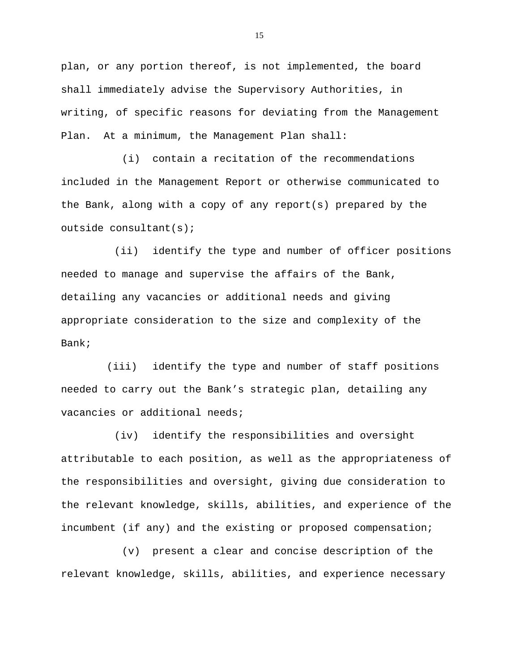plan, or any portion thereof, is not implemented, the board shall immediately advise the Supervisory Authorities, in writing, of specific reasons for deviating from the Management Plan. At a minimum, the Management Plan shall:

 (i) contain a recitation of the recommendations included in the Management Report or otherwise communicated to the Bank, along with a copy of any report(s) prepared by the outside consultant(s);

 (ii) identify the type and number of officer positions needed to manage and supervise the affairs of the Bank, detailing any vacancies or additional needs and giving appropriate consideration to the size and complexity of the Bank;

 (iii) identify the type and number of staff positions needed to carry out the Bank's strategic plan, detailing any vacancies or additional needs;

 (iv) identify the responsibilities and oversight attributable to each position, as well as the appropriateness of the responsibilities and oversight, giving due consideration to the relevant knowledge, skills, abilities, and experience of the incumbent (if any) and the existing or proposed compensation;

 (v) present a clear and concise description of the relevant knowledge, skills, abilities, and experience necessary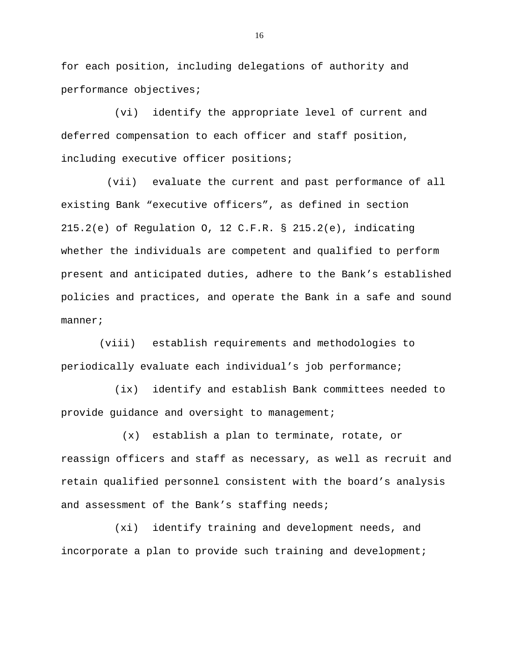for each position, including delegations of authority and performance objectives;

 (vi) identify the appropriate level of current and deferred compensation to each officer and staff position, including executive officer positions;

 (vii) evaluate the current and past performance of all existing Bank "executive officers", as defined in section 215.2(e) of Regulation O, 12 C.F.R. § 215.2(e), indicating whether the individuals are competent and qualified to perform present and anticipated duties, adhere to the Bank's established policies and practices, and operate the Bank in a safe and sound manner;

 (viii) establish requirements and methodologies to periodically evaluate each individual's job performance;

 (ix) identify and establish Bank committees needed to provide guidance and oversight to management;

 (x) establish a plan to terminate, rotate, or reassign officers and staff as necessary, as well as recruit and retain qualified personnel consistent with the board's analysis and assessment of the Bank's staffing needs;

 (xi) identify training and development needs, and incorporate a plan to provide such training and development;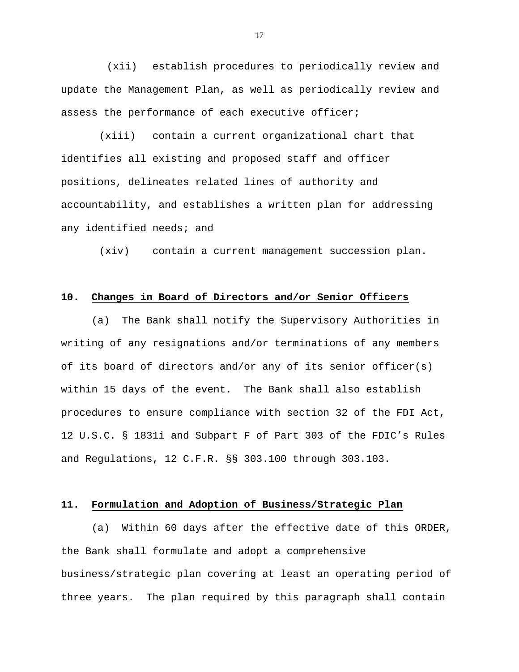(xii) establish procedures to periodically review and update the Management Plan, as well as periodically review and assess the performance of each executive officer;

 (xiii) contain a current organizational chart that identifies all existing and proposed staff and officer positions, delineates related lines of authority and accountability, and establishes a written plan for addressing any identified needs; and

(xiv) contain a current management succession plan.

## **10. Changes in Board of Directors and/or Senior Officers**

 (a) The Bank shall notify the Supervisory Authorities in writing of any resignations and/or terminations of any members of its board of directors and/or any of its senior officer(s) within 15 days of the event. The Bank shall also establish procedures to ensure compliance with section 32 of the FDI Act, 12 U.S.C. § 1831i and Subpart F of Part 303 of the FDIC's Rules and Regulations, 12 C.F.R. §§ 303.100 through 303.103.

## **11. Formulation and Adoption of Business/Strategic Plan**

 (a) Within 60 days after the effective date of this ORDER, the Bank shall formulate and adopt a comprehensive business/strategic plan covering at least an operating period of three years. The plan required by this paragraph shall contain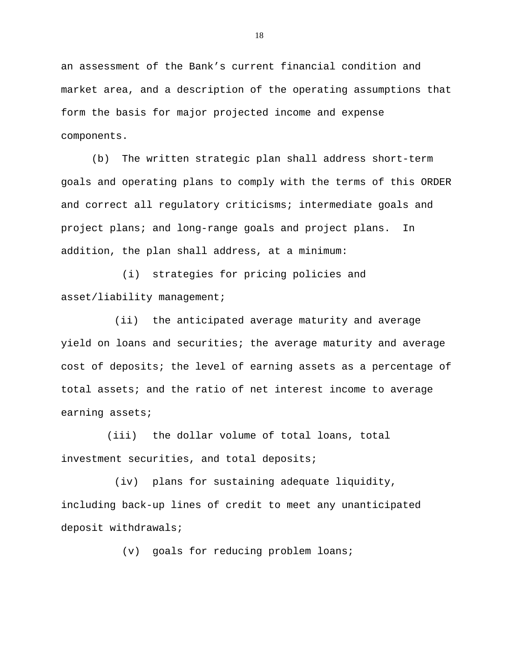an assessment of the Bank's current financial condition and market area, and a description of the operating assumptions that form the basis for major projected income and expense components.

 (b) The written strategic plan shall address short-term goals and operating plans to comply with the terms of this ORDER and correct all regulatory criticisms; intermediate goals and project plans; and long-range goals and project plans. In addition, the plan shall address, at a minimum:

 (i) strategies for pricing policies and asset/liability management;

 (ii) the anticipated average maturity and average yield on loans and securities; the average maturity and average cost of deposits; the level of earning assets as a percentage of total assets; and the ratio of net interest income to average earning assets;

 (iii) the dollar volume of total loans, total investment securities, and total deposits;

 (iv) plans for sustaining adequate liquidity, including back-up lines of credit to meet any unanticipated deposit withdrawals;

(v) goals for reducing problem loans;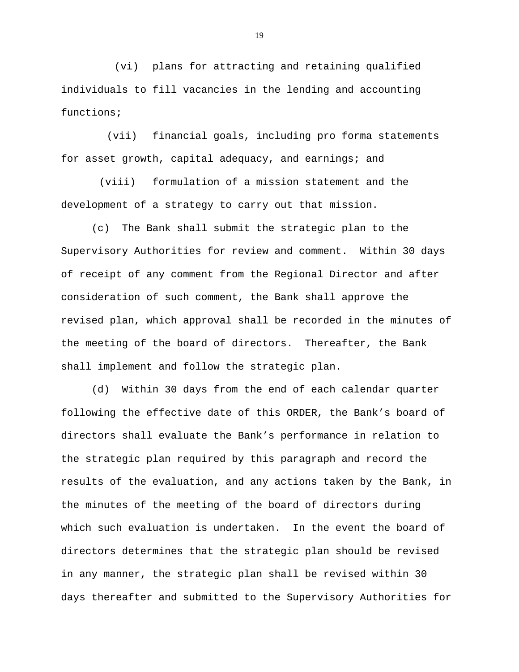(vi) plans for attracting and retaining qualified individuals to fill vacancies in the lending and accounting functions;

 (vii) financial goals, including pro forma statements for asset growth, capital adequacy, and earnings; and

 (viii) formulation of a mission statement and the development of a strategy to carry out that mission.

 (c) The Bank shall submit the strategic plan to the Supervisory Authorities for review and comment. Within 30 days of receipt of any comment from the Regional Director and after consideration of such comment, the Bank shall approve the revised plan, which approval shall be recorded in the minutes of the meeting of the board of directors. Thereafter, the Bank shall implement and follow the strategic plan.

 (d) Within 30 days from the end of each calendar quarter following the effective date of this ORDER, the Bank's board of directors shall evaluate the Bank's performance in relation to the strategic plan required by this paragraph and record the results of the evaluation, and any actions taken by the Bank, in the minutes of the meeting of the board of directors during which such evaluation is undertaken. In the event the board of directors determines that the strategic plan should be revised in any manner, the strategic plan shall be revised within 30 days thereafter and submitted to the Supervisory Authorities for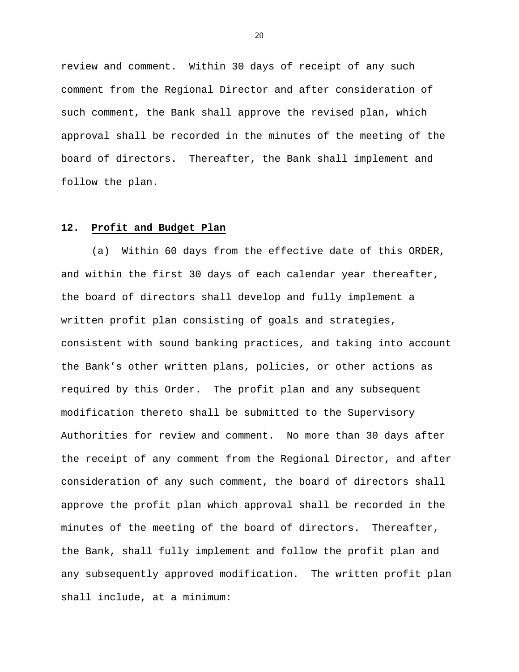review and comment. Within 30 days of receipt of any such comment from the Regional Director and after consideration of such comment, the Bank shall approve the revised plan, which approval shall be recorded in the minutes of the meeting of the board of directors. Thereafter, the Bank shall implement and follow the plan.

## **12. Profit and Budget Plan**

 (a) Within 60 days from the effective date of this ORDER, and within the first 30 days of each calendar year thereafter, the board of directors shall develop and fully implement a written profit plan consisting of goals and strategies, consistent with sound banking practices, and taking into account the Bank's other written plans, policies, or other actions as required by this Order. The profit plan and any subsequent modification thereto shall be submitted to the Supervisory Authorities for review and comment. No more than 30 days after the receipt of any comment from the Regional Director, and after consideration of any such comment, the board of directors shall approve the profit plan which approval shall be recorded in the minutes of the meeting of the board of directors. Thereafter, the Bank, shall fully implement and follow the profit plan and any subsequently approved modification. The written profit plan shall include, at a minimum: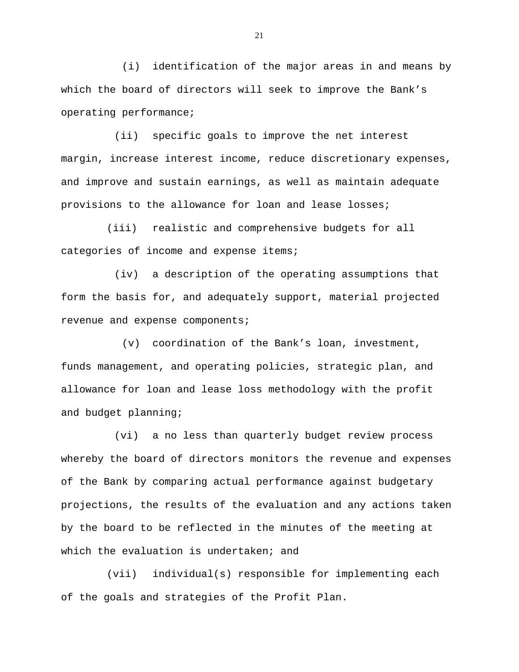(i) identification of the major areas in and means by which the board of directors will seek to improve the Bank's operating performance;

 (ii) specific goals to improve the net interest margin, increase interest income, reduce discretionary expenses, and improve and sustain earnings, as well as maintain adequate provisions to the allowance for loan and lease losses;

 (iii) realistic and comprehensive budgets for all categories of income and expense items;

 (iv) a description of the operating assumptions that form the basis for, and adequately support, material projected revenue and expense components;

 (v) coordination of the Bank's loan, investment, funds management, and operating policies, strategic plan, and allowance for loan and lease loss methodology with the profit and budget planning;

 (vi) a no less than quarterly budget review process whereby the board of directors monitors the revenue and expenses of the Bank by comparing actual performance against budgetary projections, the results of the evaluation and any actions taken by the board to be reflected in the minutes of the meeting at which the evaluation is undertaken; and

 (vii) individual(s) responsible for implementing each of the goals and strategies of the Profit Plan.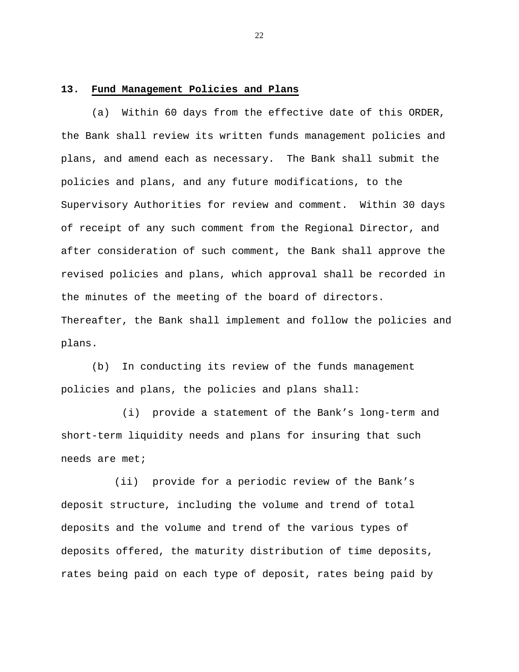#### **13. Fund Management Policies and Plans**

 (a) Within 60 days from the effective date of this ORDER, the Bank shall review its written funds management policies and plans, and amend each as necessary. The Bank shall submit the policies and plans, and any future modifications, to the Supervisory Authorities for review and comment. Within 30 days of receipt of any such comment from the Regional Director, and after consideration of such comment, the Bank shall approve the revised policies and plans, which approval shall be recorded in the minutes of the meeting of the board of directors. Thereafter, the Bank shall implement and follow the policies and plans.

 (b) In conducting its review of the funds management policies and plans, the policies and plans shall:

 (i) provide a statement of the Bank's long-term and short-term liquidity needs and plans for insuring that such needs are met;

 (ii) provide for a periodic review of the Bank's deposit structure, including the volume and trend of total deposits and the volume and trend of the various types of deposits offered, the maturity distribution of time deposits, rates being paid on each type of deposit, rates being paid by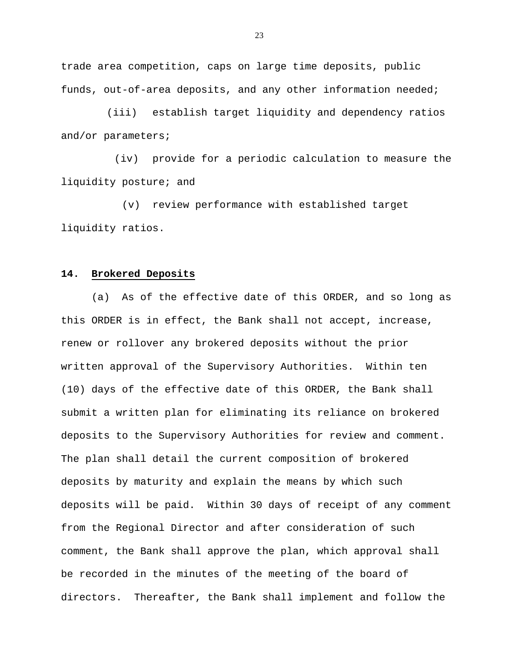trade area competition, caps on large time deposits, public funds, out-of-area deposits, and any other information needed;

 (iii) establish target liquidity and dependency ratios and/or parameters;

 (iv) provide for a periodic calculation to measure the liquidity posture; and

 (v) review performance with established target liquidity ratios.

#### **14. Brokered Deposits**

 (a) As of the effective date of this ORDER, and so long as this ORDER is in effect, the Bank shall not accept, increase, renew or rollover any brokered deposits without the prior written approval of the Supervisory Authorities. Within ten (10) days of the effective date of this ORDER, the Bank shall submit a written plan for eliminating its reliance on brokered deposits to the Supervisory Authorities for review and comment. The plan shall detail the current composition of brokered deposits by maturity and explain the means by which such deposits will be paid. Within 30 days of receipt of any comment from the Regional Director and after consideration of such comment, the Bank shall approve the plan, which approval shall be recorded in the minutes of the meeting of the board of directors. Thereafter, the Bank shall implement and follow the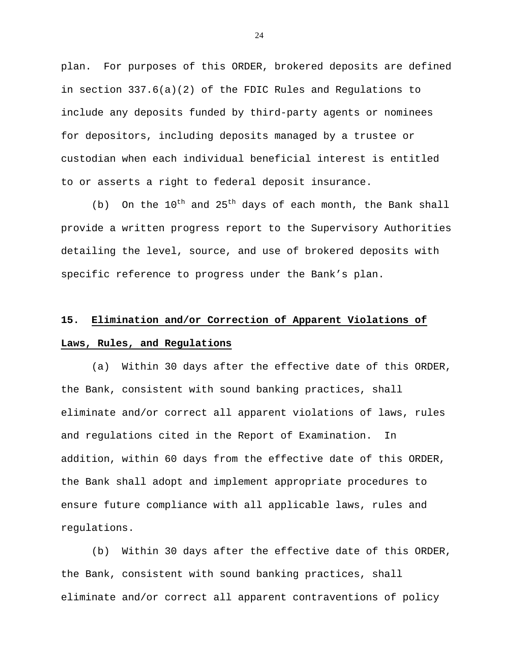plan. For purposes of this ORDER, brokered deposits are defined in section 337.6(a)(2) of the FDIC Rules and Regulations to include any deposits funded by third-party agents or nominees for depositors, including deposits managed by a trustee or custodian when each individual beneficial interest is entitled to or asserts a right to federal deposit insurance.

(b) On the  $10^{th}$  and  $25^{th}$  days of each month, the Bank shall provide a written progress report to the Supervisory Authorities detailing the level, source, and use of brokered deposits with specific reference to progress under the Bank's plan.

# **15. Elimination and/or Correction of Apparent Violations of Laws, Rules, and Regulations**

 (a) Within 30 days after the effective date of this ORDER, the Bank, consistent with sound banking practices, shall eliminate and/or correct all apparent violations of laws, rules and regulations cited in the Report of Examination. In addition, within 60 days from the effective date of this ORDER, the Bank shall adopt and implement appropriate procedures to ensure future compliance with all applicable laws, rules and regulations.

 (b) Within 30 days after the effective date of this ORDER, the Bank, consistent with sound banking practices, shall eliminate and/or correct all apparent contraventions of policy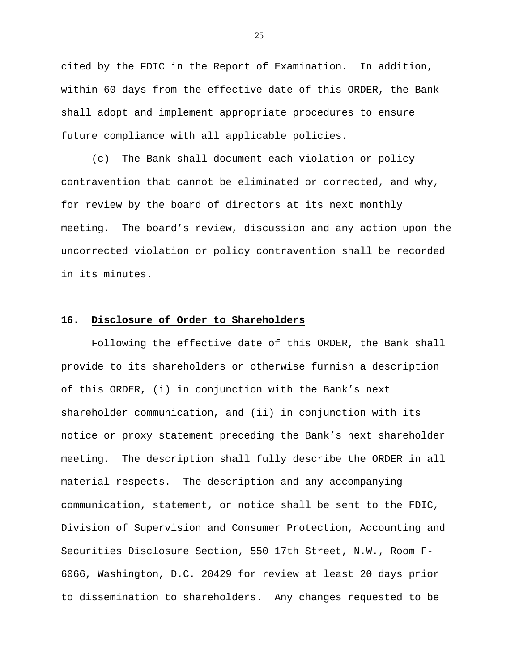cited by the FDIC in the Report of Examination. In addition, within 60 days from the effective date of this ORDER, the Bank shall adopt and implement appropriate procedures to ensure future compliance with all applicable policies.

 (c) The Bank shall document each violation or policy contravention that cannot be eliminated or corrected, and why, for review by the board of directors at its next monthly meeting. The board's review, discussion and any action upon the uncorrected violation or policy contravention shall be recorded in its minutes.

## **16. Disclosure of Order to Shareholders**

 Following the effective date of this ORDER, the Bank shall provide to its shareholders or otherwise furnish a description of this ORDER, (i) in conjunction with the Bank's next shareholder communication, and (ii) in conjunction with its notice or proxy statement preceding the Bank's next shareholder meeting. The description shall fully describe the ORDER in all material respects. The description and any accompanying communication, statement, or notice shall be sent to the FDIC, Division of Supervision and Consumer Protection, Accounting and Securities Disclosure Section, 550 17th Street, N.W., Room F-6066, Washington, D.C. 20429 for review at least 20 days prior to dissemination to shareholders. Any changes requested to be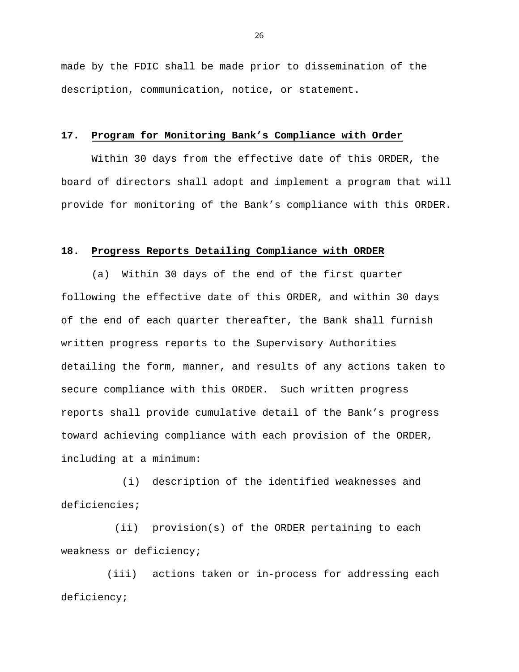made by the FDIC shall be made prior to dissemination of the description, communication, notice, or statement.

#### **17. Program for Monitoring Bank's Compliance with Order**

 Within 30 days from the effective date of this ORDER, the board of directors shall adopt and implement a program that will provide for monitoring of the Bank's compliance with this ORDER.

## **18. Progress Reports Detailing Compliance with ORDER**

 (a) Within 30 days of the end of the first quarter following the effective date of this ORDER, and within 30 days of the end of each quarter thereafter, the Bank shall furnish written progress reports to the Supervisory Authorities detailing the form, manner, and results of any actions taken to secure compliance with this ORDER. Such written progress reports shall provide cumulative detail of the Bank's progress toward achieving compliance with each provision of the ORDER, including at a minimum:

 (i) description of the identified weaknesses and deficiencies;

 (ii) provision(s) of the ORDER pertaining to each weakness or deficiency;

 (iii) actions taken or in-process for addressing each deficiency;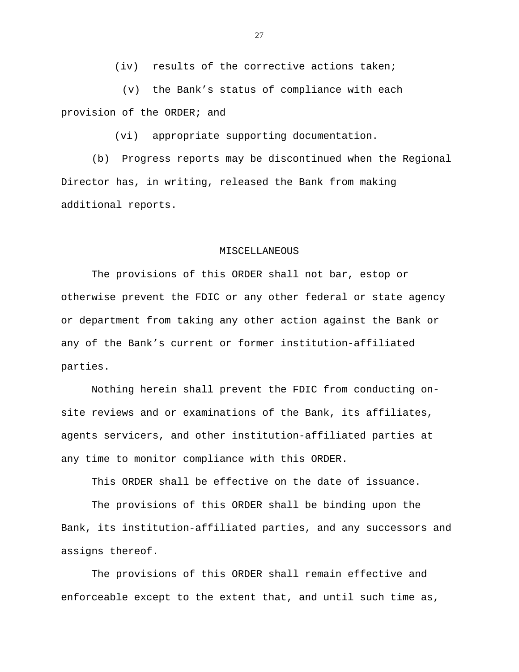(iv) results of the corrective actions taken;

 (v) the Bank's status of compliance with each provision of the ORDER; and

(vi) appropriate supporting documentation.

 (b) Progress reports may be discontinued when the Regional Director has, in writing, released the Bank from making additional reports.

## MISCELLANEOUS

 The provisions of this ORDER shall not bar, estop or otherwise prevent the FDIC or any other federal or state agency or department from taking any other action against the Bank or any of the Bank's current or former institution-affiliated parties.

 Nothing herein shall prevent the FDIC from conducting onsite reviews and or examinations of the Bank, its affiliates, agents servicers, and other institution-affiliated parties at any time to monitor compliance with this ORDER.

This ORDER shall be effective on the date of issuance.

 The provisions of this ORDER shall be binding upon the Bank, its institution-affiliated parties, and any successors and assigns thereof.

 The provisions of this ORDER shall remain effective and enforceable except to the extent that, and until such time as,